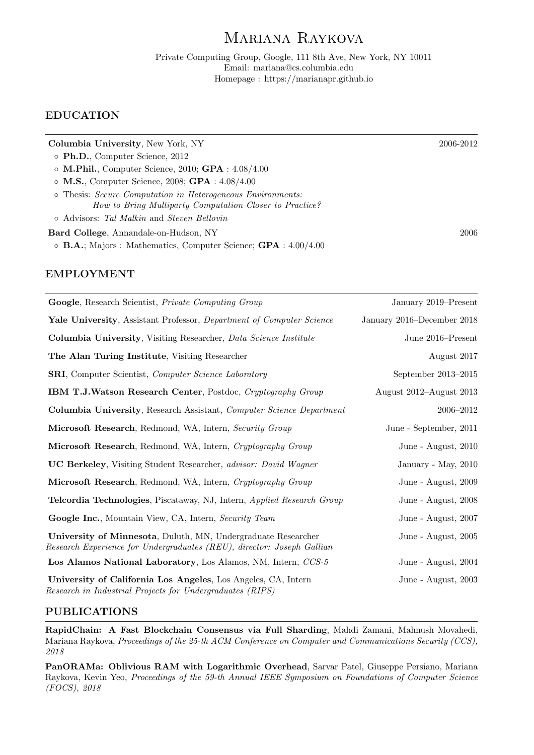# Mariana Raykova

Private Computing Group, Google, 111 8th Ave, New York, NY 10011 Email: mariana@cs.columbia.edu Homepage : https://marianapr.github.io

### EDUCATION

| Columbia University, New York, NY                                                                                      | 2006-2012 |
|------------------------------------------------------------------------------------------------------------------------|-----------|
| $\circ$ Ph.D., Computer Science, 2012                                                                                  |           |
| $\circ$ M.Phil., Computer Science, 2010; GPA : 4.08/4.00                                                               |           |
| $\circ$ M.S., Computer Science, 2008; GPA : 4.08/4.00                                                                  |           |
| o Thesis: Secure Computation in Heterogeneous Environments:<br>How to Bring Multiparty Computation Closer to Practice? |           |
| o Advisors: Tal Malkin and Steven Bellovin                                                                             |           |
| Bard College, Annandale-on-Hudson, NY                                                                                  | 2006      |
| $\circ$ <b>B.A.</b> ; Majors : Mathematics, Computer Science; <b>GPA</b> : 4.00/4.00                                   |           |
|                                                                                                                        |           |

### EMPLOYMENT

| <b>Google</b> , Research Scientist, <i>Private Computing Group</i>                                                                             | January 2019–Present       |
|------------------------------------------------------------------------------------------------------------------------------------------------|----------------------------|
| Yale University, Assistant Professor, Department of Computer Science                                                                           | January 2016–December 2018 |
| Columbia University, Visiting Researcher, Data Science Institute                                                                               | June 2016–Present          |
| The Alan Turing Institute, Visiting Researcher                                                                                                 | August 2017                |
| <b>SRI</b> , Computer Scientist, Computer Science Laboratory                                                                                   | September 2013-2015        |
| <b>IBM T.J.Watson Research Center</b> , Postdoc, Cryptography Group                                                                            | August 2012-August 2013    |
| <b>Columbia University, Research Assistant, Computer Science Department</b>                                                                    | 2006-2012                  |
| Microsoft Research, Redmond, WA, Intern, Security Group                                                                                        | June - September, 2011     |
| Microsoft Research, Redmond, WA, Intern, Cryptography Group                                                                                    | June - August, 2010        |
| <b>UC Berkeley</b> , Visiting Student Researcher, advisor: David Wagner                                                                        | January - May, 2010        |
| Microsoft Research, Redmond, WA, Intern, Cryptography Group                                                                                    | June - August, 2009        |
| Telcordia Technologies, Piscataway, NJ, Intern, Applied Research Group                                                                         | June - August, 2008        |
| Google Inc., Mountain View, CA, Intern, Security Team                                                                                          | June - August, 2007        |
| <b>University of Minnesota, Duluth, MN, Undergraduate Researcher</b><br>Research Experience for Undergraduates (REU), director: Joseph Gallian | June - August, 2005        |
| Los Alamos National Laboratory, Los Alamos, NM, Intern, CCS-5                                                                                  | June - August, 2004        |
| University of California Los Angeles, Los Angeles, CA, Intern<br>Research in Industrial Projects for Undergraduates (RIPS)                     | June - August, 2003        |

### PUBLICATIONS

RapidChain: A Fast Blockchain Consensus via Full Sharding, Mahdi Zamani, Mahnush Movahedi, Mariana Raykova, Proceedings of the 25-th ACM Conference on Computer and Communications Security (CCS), 2018

PanORAMa: Oblivious RAM with Logarithmic Overhead, Sarvar Patel, Giuseppe Persiano, Mariana Raykova, Kevin Yeo, Proceedings of the 59-th Annual IEEE Symposium on Foundations of Computer Science (FOCS), 2018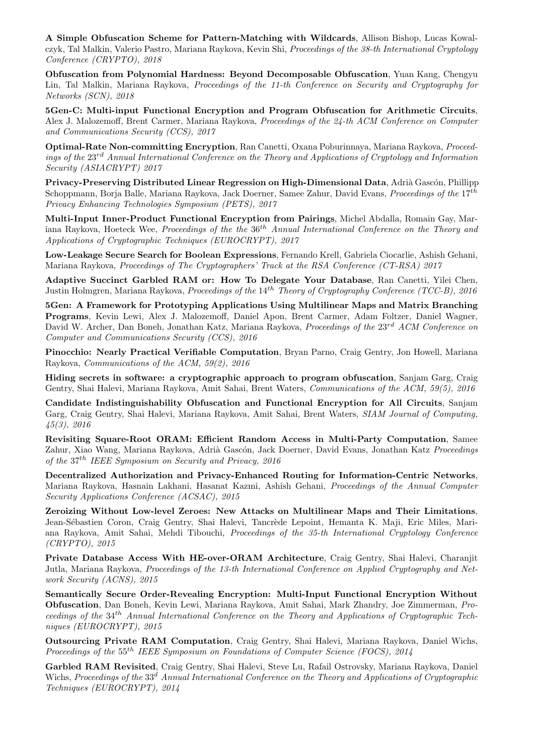A Simple Obfuscation Scheme for Pattern-Matching with Wildcards, Allison Bishop, Lucas Kowalczyk, Tal Malkin, Valerio Pastro, Mariana Raykova, Kevin Shi, Proceedings of the 38-th International Cryptology Conference (CRYPTO), 2018

Obfuscation from Polynomial Hardness: Beyond Decomposable Obfuscation, Yuan Kang, Chengyu Lin, Tal Malkin, Mariana Raykova, Proceedings of the 11-th Conference on Security and Cryptography for Networks (SCN), 2018

5Gen-C: Multi-input Functional Encryption and Program Obfuscation for Arithmetic Circuits, Alex J. Malozemoff, Brent Carmer, Mariana Raykova, Proceedings of the 24-th ACM Conference on Computer and Communications Security (CCS), 2017

Optimal-Rate Non-committing Encryption, Ran Canetti, Oxana Poburinnaya, Mariana Raykova, Proceedings of the  $23^{rd}$  Annual International Conference on the Theory and Applications of Cryptology and Information Security (ASIACRYPT) 2017

Privacy-Preserving Distributed Linear Regression on High-Dimensional Data, Adrià Gascón, Phillipp Schoppmann, Borja Balle, Mariana Raykova, Jack Doerner, Samee Zahur, David Evans, Proceedings of the 17<sup>th</sup> Privacy Enhancing Technologies Symposium (PETS), 2017

Multi-Input Inner-Product Functional Encryption from Pairings, Michel Abdalla, Romain Gay, Mariana Raykova, Hoeteck Wee, Proceedings of the the  $36<sup>th</sup>$  Annual International Conference on the Theory and Applications of Cryptographic Techniques (EUROCRYPT), 2017

Low-Leakage Secure Search for Boolean Expressions, Fernando Krell, Gabriela Ciocarlie, Ashish Gehani, Mariana Raykova, Proceedings of The Cryptographers' Track at the RSA Conference (CT-RSA) 2017

Adaptive Succinct Garbled RAM or: How To Delegate Your Database, Ran Canetti, Yilei Chen, Justin Holmgren, Mariana Raykova, *Proceedings of the* 14<sup>th</sup> Theory of Cryptography Conference (TCC-B), 2016

5Gen: A Framework for Prototyping Applications Using Multilinear Maps and Matrix Branching Programs, Kevin Lewi, Alex J. Malozemoff, Daniel Apon, Brent Carmer, Adam Foltzer, Daniel Wagner, David W. Archer, Dan Boneh, Jonathan Katz, Mariana Raykova, Proceedings of the 23<sup>rd</sup> ACM Conference on Computer and Communications Security (CCS), 2016

Pinocchio: Nearly Practical Verifiable Computation, Bryan Parno, Craig Gentry, Jon Howell, Mariana Raykova, Communications of the ACM, 59(2), 2016

Hiding secrets in software: a cryptographic approach to program obfuscation, Sanjam Garg, Craig Gentry, Shai Halevi, Mariana Raykova, Amit Sahai, Brent Waters, Communications of the ACM, 59(5), 2016

Candidate Indistinguishability Obfuscation and Functional Encryption for All Circuits, Sanjam Garg, Craig Gentry, Shai Halevi, Mariana Raykova, Amit Sahai, Brent Waters, SIAM Journal of Computing, 45(3), 2016

Revisiting Square-Root ORAM: Efficient Random Access in Multi-Party Computation, Samee Zahur, Xiao Wang, Mariana Raykova, Adrià Gascón, Jack Doerner, David Evans, Jonathan Katz Proceedings of the 37th IEEE Symposium on Security and Privacy, 2016

Decentralized Authorization and Privacy-Enhanced Routing for Information-Centric Networks, Mariana Raykova, Hasnain Lakhani, Hasanat Kazmi, Ashish Gehani, Proceedings of the Annual Computer Security Applications Conference (ACSAC), 2015

Zeroizing Without Low-level Zeroes: New Attacks on Multilinear Maps and Their Limitations, Jean-Sébastien Coron, Craig Gentry, Shai Halevi, Tancrède Lepoint, Hemanta K. Maji, Eric Miles, Mariana Raykova, Amit Sahai, Mehdi Tibouchi, Proceedings of the 35-th International Cryptology Conference (CRYPTO), 2015

Private Database Access With HE-over-ORAM Architecture, Craig Gentry, Shai Halevi, Charanjit Jutla, Mariana Raykova, Proceedings of the 13-th International Conference on Applied Cryptography and Network Security (ACNS), 2015

Semantically Secure Order-Revealing Encryption: Multi-Input Functional Encryption Without Obfuscation, Dan Boneh, Kevin Lewi, Mariana Raykova, Amit Sahai, Mark Zhandry, Joe Zimmerman, Proceedings of the  $34<sup>th</sup>$  Annual International Conference on the Theory and Applications of Cryptographic Techniques (EUROCRYPT), 2015

Outsourcing Private RAM Computation, Craig Gentry, Shai Halevi, Mariana Raykova, Daniel Wichs, Proceedings of the 55<sup>th</sup> IEEE Symposium on Foundations of Computer Science (FOCS), 2014

Garbled RAM Revisited, Craig Gentry, Shai Halevi, Steve Lu, Rafail Ostrovsky, Mariana Raykova, Daniel Wichs, Proceedings of the 33<sup>d</sup> Annual International Conference on the Theory and Applications of Cryptographic Techniques (EUROCRYPT), 2014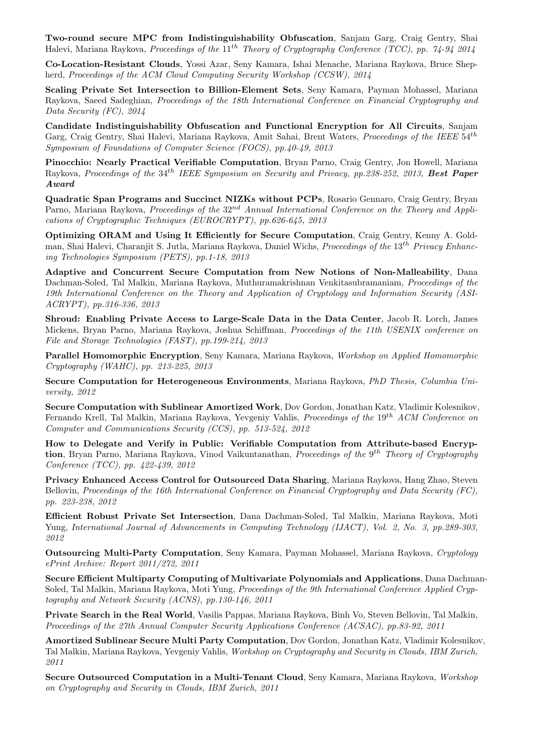Two-round secure MPC from Indistinguishability Obfuscation, Sanjam Garg, Craig Gentry, Shai Halevi, Mariana Raykova, Proceedings of the 11<sup>th</sup> Theory of Cryptography Conference (TCC), pp. 74-94 2014

Co-Location-Resistant Clouds, Yossi Azar, Seny Kamara, Ishai Menache, Mariana Raykova, Bruce Shepherd, Proceedings of the ACM Cloud Computing Security Workshop (CCSW), 2014

Scaling Private Set Intersection to Billion-Element Sets, Seny Kamara, Payman Mohassel, Mariana Raykova, Saeed Sadeghian, Proceedings of the 18th International Conference on Financial Cryptography and Data Security (FC), 2014

Candidate Indistinguishability Obfuscation and Functional Encryption for All Circuits, Sanjam Garg, Craig Gentry, Shai Halevi, Mariana Raykova, Amit Sahai, Brent Waters, Proceedings of the IEEE 54<sup>th</sup> Symposium of Foundations of Computer Science (FOCS), pp.40-49, 2013

Pinocchio: Nearly Practical Verifiable Computation, Bryan Parno, Craig Gentry, Jon Howell, Mariana Raykova, Proceedings of the 34<sup>th</sup> IEEE Symposium on Security and Privacy, pp.238-252, 2013, Best Paper Award

Quadratic Span Programs and Succinct NIZKs without PCPs, Rosario Gennaro, Craig Gentry, Bryan Parno, Mariana Raykova, Proceedings of the 32<sup>nd</sup> Annual International Conference on the Theory and Applications of Cryptographic Techniques (EUROCRYPT), pp.626-645, 2013

Optimizing ORAM and Using It Efficiently for Secure Computation, Craig Gentry, Kenny A. Goldman, Shai Halevi, Charanjit S. Jutla, Mariana Raykova, Daniel Wichs, Proceedings of the 13th Privacy Enhancing Technologies Symposium (PETS), pp.1-18, 2013

Adaptive and Concurrent Secure Computation from New Notions of Non-Malleability, Dana Dachman-Soled, Tal Malkin, Mariana Raykova, Muthuramakrishnan Venkitasubramaniam, Proceedings of the 19th International Conference on the Theory and Application of Cryptology and Information Security (ASI-ACRYPT), pp.316-336, 2013

Shroud: Enabling Private Access to Large-Scale Data in the Data Center, Jacob R. Lorch, James Mickens, Bryan Parno, Mariana Raykova, Joshua Schiffman, Proceedings of the 11th USENIX conference on File and Storage Technologies (FAST), pp.199-214, 2013

Parallel Homomorphic Encryption, Seny Kamara, Mariana Raykova, Workshop on Applied Homomorphic Cryptography (WAHC), pp. 213-225, 2013

Secure Computation for Heterogeneous Environments, Mariana Raykova, PhD Thesis, Columbia University, 2012

Secure Computation with Sublinear Amortized Work, Dov Gordon, Jonathan Katz, Vladimir Kolesnikov, Fernando Krell, Tal Malkin, Mariana Raykova, Yevgeniy Vahlis, Proceedings of the 19th ACM Conference on Computer and Communications Security (CCS), pp. 513-524, 2012

How to Delegate and Verify in Public: Verifiable Computation from Attribute-based Encryption, Bryan Parno, Mariana Raykova, Vinod Vaikuntanathan, Proceedings of the 9<sup>th</sup> Theory of Cryptography Conference (TCC), pp. 422-439, 2012

Privacy Enhanced Access Control for Outsourced Data Sharing, Mariana Raykova, Hang Zhao, Steven Bellovin, Proceedings of the 16th International Conference on Financial Cryptography and Data Security (FC), pp. 223-238, 2012

Efficient Robust Private Set Intersection, Dana Dachman-Soled, Tal Malkin, Mariana Raykova, Moti Yung, International Journal of Advancements in Computing Technology (IJACT), Vol. 2, No. 3, pp.289-303, 2012

Outsourcing Multi-Party Computation, Seny Kamara, Payman Mohassel, Mariana Raykova, Cryptology ePrint Archive: Report 2011/272, 2011

Secure Efficient Multiparty Computing of Multivariate Polynomials and Applications, Dana Dachman-Soled, Tal Malkin, Mariana Raykova, Moti Yung, Proceedings of the 9th International Conference Applied Cryptography and Network Security (ACNS), pp.130-146, 2011

Private Search in the Real World, Vasilis Pappas, Mariana Raykova, Binh Vo, Steven Bellovin, Tal Malkin, Proceedings of the 27th Annual Computer Security Applications Conference (ACSAC), pp.83-92, 2011

Amortized Sublinear Secure Multi Party Computation, Dov Gordon, Jonathan Katz, Vladimir Kolesnikov, Tal Malkin, Mariana Raykova, Yevgeniy Vahlis, Workshop on Cryptography and Security in Clouds, IBM Zurich, 2011

Secure Outsourced Computation in a Multi-Tenant Cloud, Seny Kamara, Mariana Raykova, Workshop on Cryptography and Security in Clouds, IBM Zurich, 2011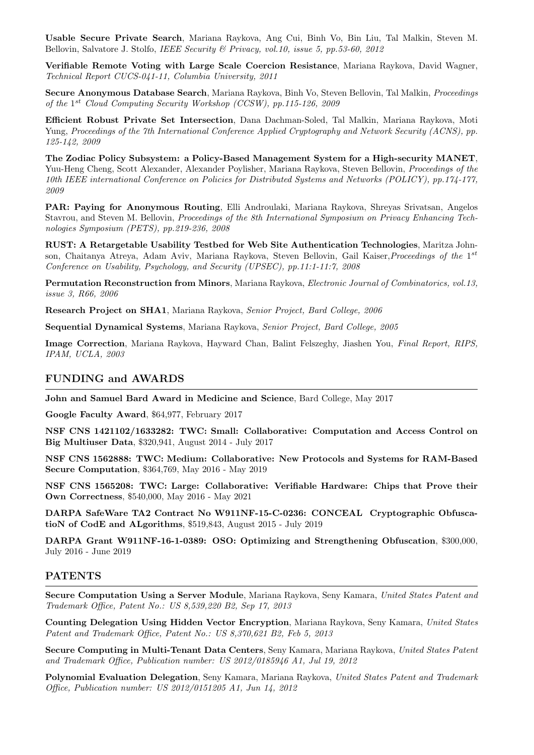Usable Secure Private Search, Mariana Raykova, Ang Cui, Binh Vo, Bin Liu, Tal Malkin, Steven M. Bellovin, Salvatore J. Stolfo, IEEE Security & Privacy, vol.10, issue 5, pp.53-60, 2012

Verifiable Remote Voting with Large Scale Coercion Resistance, Mariana Raykova, David Wagner, Technical Report CUCS-041-11, Columbia University, 2011

Secure Anonymous Database Search, Mariana Raykova, Binh Vo, Steven Bellovin, Tal Malkin, Proceedings of the 1<sup>st</sup> Cloud Computing Security Workshop (CCSW), pp.115-126, 2009

Efficient Robust Private Set Intersection, Dana Dachman-Soled, Tal Malkin, Mariana Raykova, Moti Yung, Proceedings of the 7th International Conference Applied Cryptography and Network Security (ACNS), pp. 125-142, 2009

The Zodiac Policy Subsystem: a Policy-Based Management System for a High-security MANET, Yuu-Heng Cheng, Scott Alexander, Alexander Poylisher, Mariana Raykova, Steven Bellovin, Proceedings of the 10th IEEE international Conference on Policies for Distributed Systems and Networks (POLICY), pp.174-177, 2009

PAR: Paying for Anonymous Routing, Elli Androulaki, Mariana Raykova, Shreyas Srivatsan, Angelos Stavrou, and Steven M. Bellovin, *Proceedings of the 8th International Symposium on Privacy Enhancing Tech*nologies Symposium (PETS), pp.219-236, 2008

RUST: A Retargetable Usability Testbed for Web Site Authentication Technologies, Maritza Johnson, Chaitanya Atreya, Adam Aviv, Mariana Raykova, Steven Bellovin, Gail Kaiser, Proceedings of the 1<sup>st</sup> Conference on Usability, Psychology, and Security (UPSEC), pp.11:1-11:7, 2008

Permutation Reconstruction from Minors, Mariana Raykova, Electronic Journal of Combinatorics, vol.13, issue 3, R66, 2006

Research Project on SHA1, Mariana Raykova, Senior Project, Bard College, 2006

Sequential Dynamical Systems, Mariana Raykova, Senior Project, Bard College, 2005

Image Correction, Mariana Raykova, Hayward Chan, Balint Felszeghy, Jiashen You, Final Report, RIPS, IPAM, UCLA, 2003

#### FUNDING and AWARDS

John and Samuel Bard Award in Medicine and Science, Bard College, May 2017

Google Faculty Award, \$64,977, February 2017

NSF CNS 1421102/1633282: TWC: Small: Collaborative: Computation and Access Control on Big Multiuser Data, \$320,941, August 2014 - July 2017

NSF CNS 1562888: TWC: Medium: Collaborative: New Protocols and Systems for RAM-Based Secure Computation, \$364,769, May 2016 - May 2019

NSF CNS 1565208: TWC: Large: Collaborative: Verifiable Hardware: Chips that Prove their Own Correctness, \$540,000, May 2016 - May 2021

DARPA SafeWare TA2 Contract No W911NF-15-C-0236: CONCEAL Cryptographic ObfuscatioN of CodE and ALgorithms, \$519,843, August 2015 - July 2019

DARPA Grant W911NF-16-1-0389: OSO: Optimizing and Strengthening Obfuscation, \$300,000, July 2016 - June 2019

#### PATENTS

Secure Computation Using a Server Module, Mariana Raykova, Seny Kamara, United States Patent and Trademark Office, Patent No.: US 8,539,220 B2, Sep 17, 2013

Counting Delegation Using Hidden Vector Encryption, Mariana Raykova, Seny Kamara, United States Patent and Trademark Office, Patent No.: US 8,370,621 B2, Feb 5, 2013

Secure Computing in Multi-Tenant Data Centers, Seny Kamara, Mariana Raykova, United States Patent and Trademark Office, Publication number: US 2012/0185946 A1, Jul 19, 2012

Polynomial Evaluation Delegation, Seny Kamara, Mariana Raykova, United States Patent and Trademark Office, Publication number: US 2012/0151205 A1, Jun 14, 2012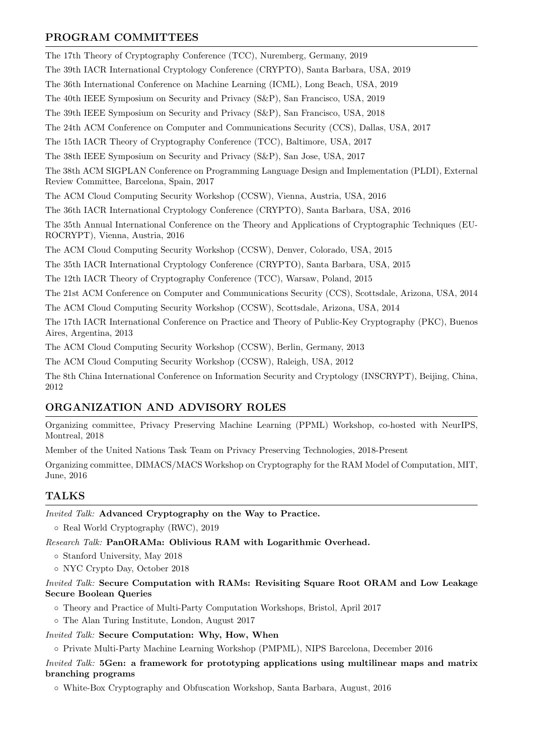### PROGRAM COMMITTEES

The 17th Theory of Cryptography Conference (TCC), Nuremberg, Germany, 2019 The 39th IACR International Cryptology Conference (CRYPTO), Santa Barbara, USA, 2019 The 36th International Conference on Machine Learning (ICML), Long Beach, USA, 2019 The 40th IEEE Symposium on Security and Privacy (S&P), San Francisco, USA, 2019 The 39th IEEE Symposium on Security and Privacy (S&P), San Francisco, USA, 2018 The 24th ACM Conference on Computer and Communications Security (CCS), Dallas, USA, 2017 The 15th IACR Theory of Cryptography Conference (TCC), Baltimore, USA, 2017 The 38th IEEE Symposium on Security and Privacy (S&P), San Jose, USA, 2017 The 38th ACM SIGPLAN Conference on Programming Language Design and Implementation (PLDI), External Review Committee, Barcelona, Spain, 2017 The ACM Cloud Computing Security Workshop (CCSW), Vienna, Austria, USA, 2016 The 36th IACR International Cryptology Conference (CRYPTO), Santa Barbara, USA, 2016 The 35th Annual International Conference on the Theory and Applications of Cryptographic Techniques (EU-ROCRYPT), Vienna, Austria, 2016 The ACM Cloud Computing Security Workshop (CCSW), Denver, Colorado, USA, 2015 The 35th IACR International Cryptology Conference (CRYPTO), Santa Barbara, USA, 2015 The 12th IACR Theory of Cryptography Conference (TCC), Warsaw, Poland, 2015 The 21st ACM Conference on Computer and Communications Security (CCS), Scottsdale, Arizona, USA, 2014 The ACM Cloud Computing Security Workshop (CCSW), Scottsdale, Arizona, USA, 2014

The 17th IACR International Conference on Practice and Theory of Public-Key Cryptography (PKC), Buenos Aires, Argentina, 2013

The ACM Cloud Computing Security Workshop (CCSW), Berlin, Germany, 2013

The ACM Cloud Computing Security Workshop (CCSW), Raleigh, USA, 2012

The 8th China International Conference on Information Security and Cryptology (INSCRYPT), Beijing, China, 2012

### ORGANIZATION AND ADVISORY ROLES

Organizing committee, Privacy Preserving Machine Learning (PPML) Workshop, co-hosted with NeurIPS, Montreal, 2018

Member of the United Nations Task Team on Privacy Preserving Technologies, 2018-Present

Organizing committee, DIMACS/MACS Workshop on Cryptography for the RAM Model of Computation, MIT, June, 2016

## TALKS

Invited Talk: Advanced Cryptography on the Way to Practice.

◦ Real World Cryptography (RWC), 2019

Research Talk: PanORAMa: Oblivious RAM with Logarithmic Overhead.

◦ Stanford University, May 2018

◦ NYC Crypto Day, October 2018

#### Invited Talk: Secure Computation with RAMs: Revisiting Square Root ORAM and Low Leakage Secure Boolean Queries

◦ Theory and Practice of Multi-Party Computation Workshops, Bristol, April 2017

◦ The Alan Turing Institute, London, August 2017

#### Invited Talk: Secure Computation: Why, How, When

◦ Private Multi-Party Machine Learning Workshop (PMPML), NIPS Barcelona, December 2016

Invited Talk: 5Gen: a framework for prototyping applications using multilinear maps and matrix branching programs

◦ White-Box Cryptography and Obfuscation Workshop, Santa Barbara, August, 2016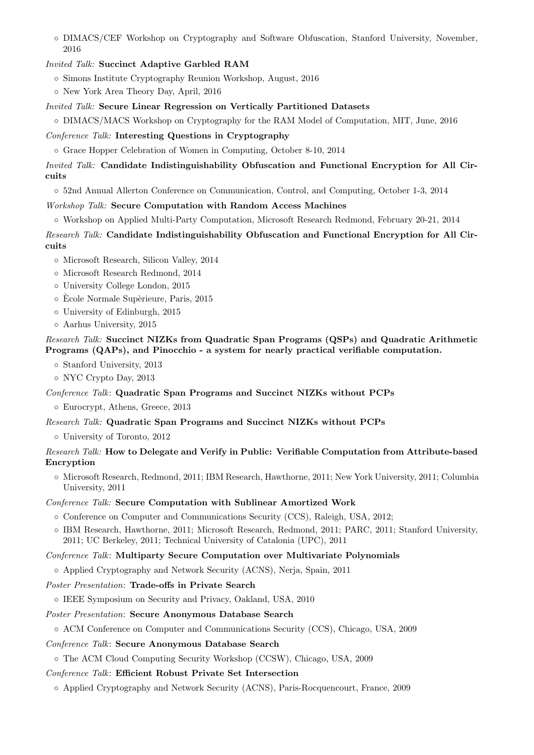◦ DIMACS/CEF Workshop on Cryptography and Software Obfuscation, Stanford University, November, 2016

#### Invited Talk: Succinct Adaptive Garbled RAM

- Simons Institute Cryptography Reunion Workshop, August, 2016
- New York Area Theory Day, April, 2016

Invited Talk: Secure Linear Regression on Vertically Partitioned Datasets

◦ DIMACS/MACS Workshop on Cryptography for the RAM Model of Computation, MIT, June, 2016

Conference Talk: Interesting Questions in Cryptography

◦ Grace Hopper Celebration of Women in Computing, October 8-10, 2014

Invited Talk: Candidate Indistinguishability Obfuscation and Functional Encryption for All Circuits

◦ 52nd Annual Allerton Conference on Communication, Control, and Computing, October 1-3, 2014

Workshop Talk: Secure Computation with Random Access Machines

◦ Workshop on Applied Multi-Party Computation, Microsoft Research Redmond, February 20-21, 2014

Research Talk: Candidate Indistinguishability Obfuscation and Functional Encryption for All Circuits

- Microsoft Research, Silicon Valley, 2014
- Microsoft Research Redmond, 2014
- University College London, 2015
- Ecole Normale Sup`erieure, Paris, 2015 `
- University of Edinburgh, 2015
- Aarhus University, 2015

#### Research Talk: Succinct NIZKs from Quadratic Span Programs (QSPs) and Quadratic Arithmetic Programs (QAPs), and Pinocchio - a system for nearly practical verifiable computation.

- Stanford University, 2013
- NYC Crypto Day, 2013

#### Conference Talk: Quadratic Span Programs and Succinct NIZKs without PCPs

◦ Eurocrypt, Athens, Greece, 2013

#### Research Talk: Quadratic Span Programs and Succinct NIZKs without PCPs

◦ University of Toronto, 2012

#### Research Talk: How to Delegate and Verify in Public: Verifiable Computation from Attribute-based Encryption

◦ Microsoft Research, Redmond, 2011; IBM Research, Hawthorne, 2011; New York University, 2011; Columbia University, 2011

#### Conference Talk: Secure Computation with Sublinear Amortized Work

- Conference on Computer and Communications Security (CCS), Raleigh, USA, 2012;
- IBM Research, Hawthorne, 2011; Microsoft Research, Redmond, 2011; PARC, 2011; Stanford University, 2011; UC Berkeley, 2011; Technical University of Catalonia (UPC), 2011

#### Conference Talk: Multiparty Secure Computation over Multivariate Polynomials

◦ Applied Cryptography and Network Security (ACNS), Nerja, Spain, 2011

#### Poster Presentation: Trade-offs in Private Search

◦ IEEE Symposium on Security and Privacy, Oakland, USA, 2010

#### Poster Presentation: Secure Anonymous Database Search

#### ◦ ACM Conference on Computer and Communications Security (CCS), Chicago, USA, 2009

#### Conference Talk: Secure Anonymous Database Search

◦ The ACM Cloud Computing Security Workshop (CCSW), Chicago, USA, 2009

#### Conference Talk: Efficient Robust Private Set Intersection

◦ Applied Cryptography and Network Security (ACNS), Paris-Rocquencourt, France, 2009